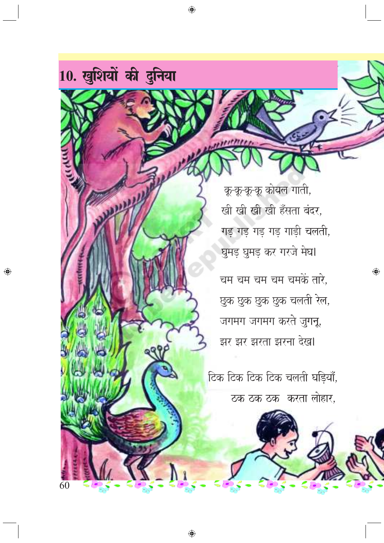

◈

छुक छुक छुक छुक चलती रेल, जगमग जगमग करते जुगनू, झर झर झरता झरना देख।

टिक टिक टिक टिक चलती घड़ियाँ, ठक ठक ठक करता लोहार,

 $\bigoplus$ 

10. खुशियों की दुनिया

◈

60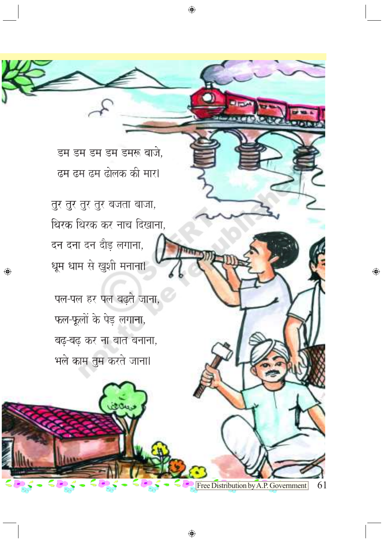Free Distribution by A.P. Government

 $\bigoplus$ 

61

 $\bigoplus$ 

पल-पल हर पल बढ़ते जाना, फल-फूलों के पेड़ लगाना, बढ़-बढ़ कर ना बात बनाना, भले काम तुम करते जाना।

तुर तुर तुर तुर बजता बाजा, थिरक थिरक कर नाच दिखाना, दन दना दन दौड़ लगाना, धूम धाम से खुशी मनाना।

◈

डम डम डम डम डमरू बाजे, ढम ढम ढम ढोलक की मार।

 $\bigoplus$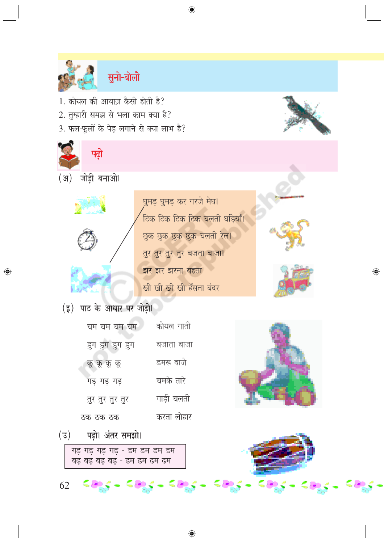

◈

सुनो-बोलो

- 1. कोयल की आवाज़ कैसी होती है?
- 2. तुम्हारी समझ से भला काम क्या है?
- 3. फल-फूलों के पेड़ लगाने से क्या लाभ है?



◈



 $\bigoplus$ 

 $(\overline{z})$ पढ़ो। अंतर समझो।

62

गड़ गड़ गड़ गड़ - डम डम डम डम बढ़ बढ़ बढ़ बढ़ - ढम ढम ढम ढम

కత్వం కత్వం కత్వ